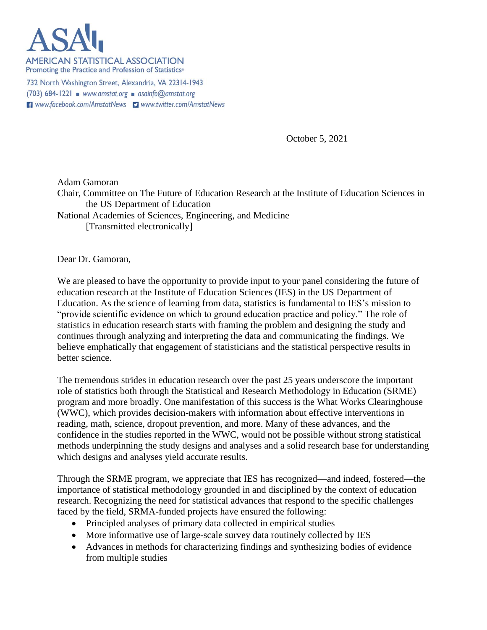

**AMERICAN STATISTICAL ASSOCIATION** Promoting the Practice and Profession of Statistics<sup>®</sup>

732 North Washington Street, Alexandria, VA 22314-1943  $(703)$  684-1221 www.amstat.org asainfo@amstat.org H www.facebook.com/AmstatNews D www.twitter.com/AmstatNews

October 5, 2021

Adam Gamoran Chair, Committee on The Future of Education Research at the Institute of Education Sciences in the US Department of Education National Academies of Sciences, Engineering, and Medicine [Transmitted electronically]

Dear Dr. Gamoran,

We are pleased to have the opportunity to provide input to your panel considering the future of education research at the Institute of Education Sciences (IES) in the US Department of Education. As the science of learning from data, statistics is fundamental to IES's mission to "provide scientific evidence on which to ground education practice and policy." The role of statistics in education research starts with framing the problem and designing the study and continues through analyzing and interpreting the data and communicating the findings. We believe emphatically that engagement of statisticians and the statistical perspective results in better science.

The tremendous strides in education research over the past 25 years underscore the important role of statistics both through the Statistical and Research Methodology in Education (SRME) program and more broadly. One manifestation of this success is the What Works Clearinghouse (WWC), which provides decision-makers with information about effective interventions in reading, math, science, dropout prevention, and more. Many of these advances, and the confidence in the studies reported in the WWC, would not be possible without strong statistical methods underpinning the study designs and analyses and a solid research base for understanding which designs and analyses yield accurate results.

Through the SRME program, we appreciate that IES has recognized—and indeed, fostered—the importance of statistical methodology grounded in and disciplined by the context of education research. Recognizing the need for statistical advances that respond to the specific challenges faced by the field, SRMA-funded projects have ensured the following:

- Principled analyses of primary data collected in empirical studies
- More informative use of large-scale survey data routinely collected by IES
- Advances in methods for characterizing findings and synthesizing bodies of evidence from multiple studies